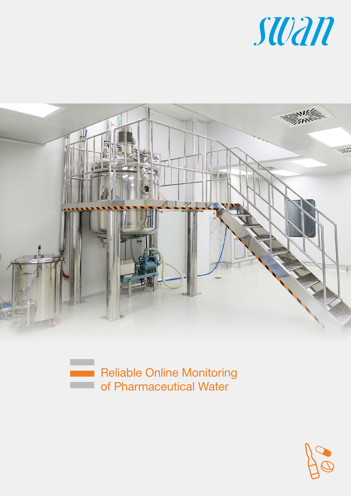



Reliable Online Monitoring of Pharmaceutical Water

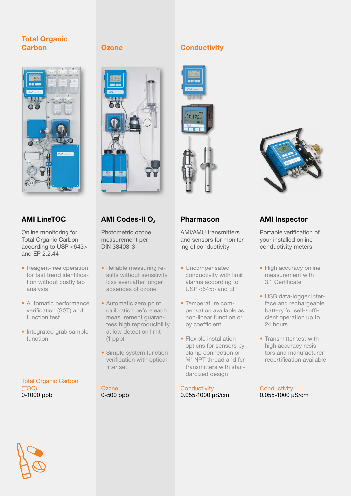# Total Organic Carbon **Ozone** Conductivity

# **CONTENT**

Online monitoring for Total Organic Carbon according to USP <643> and  $FP 2.244$ 

- Reagent-free operation for fast trend identification without costly lab analysis
- Automatic performance verification (SST) and function test
- Integrated grab sample function

Total Organic Carbon (TOC) 0-1000 ppb



Photometric ozone measurement per DIN 38408-3

- Reliable measuring results without sensitivity loss even after longer absences of ozone
- Automatic zero point calibration before each measurement guarantees high reproducibility at low detection limit (1 ppb)
- Simple system function verification with optical filter set

**Ozone** 0-500 ppb









AMI/AMU transmitters and sensors for monitoring of conductivity

- Uncompensated conductivity with limit alarms according to USP <645> and EP
- Temperature compensation available as non-linear function or by coefficient
- Flexible installation options for sensors by clamp connection or ¾" NPT thread and for transmitters with standardized design

**Conductivity** 0.055-1000 μS/cm

# AMI LineTOC AMI Codes-II O<sub>3</sub> Pharmacon AMI Inspector

Portable verification of your installed online conductivity meters

- High accuracy online measurement with 3.1 Certificate
- USB data-logger interface and rechargeable battery for self-sufficient operation up to 24 hours
- Transmitter test with high accuracy resistors and manufacturer recertification available

**Conductivity** 0.055-1000 μS/cm

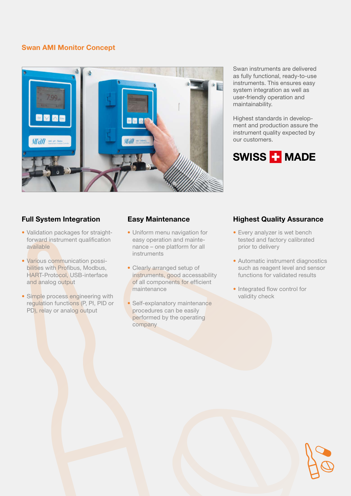# Swan AMI Monitor Concept



Swan instruments are delivered as fully functional, ready-to-use instruments. This ensures easy system integration as well as user-friendly operation and maintainability.

Highest standards in development and production assure the instrument quality expected by our customers.

# SWISS **T** MADE

- Validation packages for straightforward instrument qualification available
- Various communication possibilities with Profibus, Modbus, HART-Protocol, USB-interface and analog output
- Simple process engineering with regulation functions (P, PI, PID or PD), relay or analog output

- Uniform menu navigation for easy operation and maintenance – one platform for all instruments
- Clearly arranged setup of instruments, good accessability of all components for efficient maintenance
- Self-explanatory maintenance procedures can be easily performed by the operating company

# Full System Integration **Easy Maintenance Highest Quality Assurance**

- Every analyzer is wet bench tested and factory calibrated prior to delivery
- Automatic instrument diagnostics such as reagent level and sensor functions for validated results
- Integrated flow control for validity check